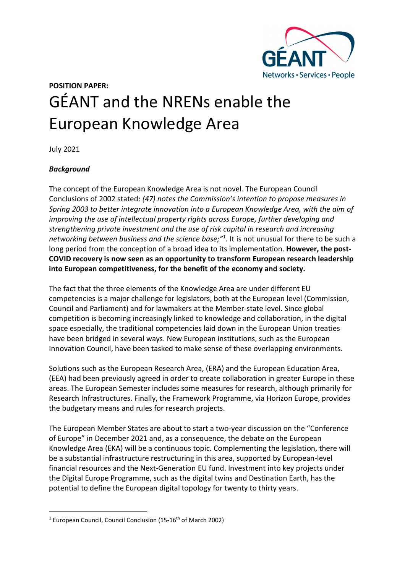

# **POSITION PAPER:**  GÉANT and the NRENs enable the European Knowledge Area

July 2021

# *Background*

The concept of the European Knowledge Area is not novel. The European Council Conclusions of 2002 stated: *(47) notes the Commission's intention to propose measures in Spring 2003 to better integrate innovation into a European Knowledge Area, with the aim of improving the use of intellectual property rights across Europe, further developing and strengthening private investment and the use of risk capital in research and increasing networking between business and the science base;"[1.](#page-0-0)* It is not unusual for there to be such a long period from the conception of a broad idea to its implementation. **However, the post-COVID recovery is now seen as an opportunity to transform European research leadership into European competitiveness, for the benefit of the economy and society.**

The fact that the three elements of the Knowledge Area are under different EU competencies is a major challenge for legislators, both at the European level (Commission, Council and Parliament) and for lawmakers at the Member-state level. Since global competition is becoming increasingly linked to knowledge and collaboration, in the digital space especially, the traditional competencies laid down in the European Union treaties have been bridged in several ways. New European institutions, such as the European Innovation Council, have been tasked to make sense of these overlapping environments.

Solutions such as the European Research Area, (ERA) and the European Education Area, (EEA) had been previously agreed in order to create collaboration in greater Europe in these areas. The European Semester includes some measures for research, although primarily for Research Infrastructures. Finally, the Framework Programme, via Horizon Europe, provides the budgetary means and rules for research projects.

The European Member States are about to start a two-year discussion on the "Conference of Europe" in December 2021 and, as a consequence, the debate on the European Knowledge Area (EKA) will be a continuous topic. Complementing the legislation, there will be a substantial infrastructure restructuring in this area, supported by European-level financial resources and the Next-Generation EU fund. Investment into key projects under the Digital Europe Programme, such as the digital twins and Destination Earth, has the potential to define the European digital topology for twenty to thirty years.

<span id="page-0-0"></span> $1$  European Council, Council Conclusion (15-16<sup>th</sup> of March 2002)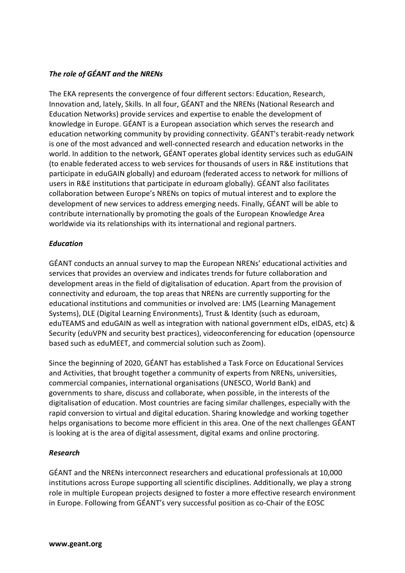## *The role of GÉANT and the NRENs*

The EKA represents the convergence of four different sectors: Education, Research, Innovation and, lately, Skills. In all four, GÉANT and the NRENs (National Research and Education Networks) provide services and expertise to enable the development of knowledge in Europe. GÉANT is a European association which serves the research and education networking community by providing connectivity. GÉANT's terabit-ready network is one of the most advanced and well-connected research and education networks in the world. In addition to the network, GÉANT operates global identity services such as eduGAIN (to enable federated access to web services for thousands of users in R&E institutions that participate in eduGAIN globally) and eduroam (federated access to network for millions of users in R&E institutions that participate in eduroam globally). GÉANT also facilitates collaboration between Europe's NRENs on topics of mutual interest and to explore the development of new services to address emerging needs. Finally, GÉANT will be able to contribute internationally by promoting the goals of the European Knowledge Area worldwide via its relationships with its international and regional partners.

## *Education*

GÉANT conducts an annual survey to map the European NRENs' educational activities and services that provides an overview and indicates trends for future collaboration and development areas in the field of digitalisation of education. Apart from the provision of connectivity and eduroam, the top areas that NRENs are currently supporting for the educational institutions and communities or involved are: LMS (Learning Management Systems), DLE (Digital Learning Environments), Trust & Identity (such as eduroam, eduTEAMS and eduGAIN as well as integration with national government eIDs, eIDAS, etc) & Security (eduVPN and security best practices), videoconferencing for education (opensource based such as eduMEET, and commercial solution such as Zoom).

Since the beginning of 2020, GÉANT has established a Task Force on Educational Services and Activities, that brought together a community of experts from NRENs, universities, commercial companies, international organisations (UNESCO, World Bank) and governments to share, discuss and collaborate, when possible, in the interests of the digitalisation of education. Most countries are facing similar challenges, especially with the rapid conversion to virtual and digital education. Sharing knowledge and working together helps organisations to become more efficient in this area. One of the next challenges GÉANT is looking at is the area of digital assessment, digital exams and online proctoring.

#### *Research*

GÉANT and the NRENs interconnect researchers and educational professionals at 10,000 institutions across Europe supporting all scientific disciplines. Additionally, we play a strong role in multiple European projects designed to foster a more effective research environment in Europe. Following from GÉANT's very successful position as co-Chair of the EOSC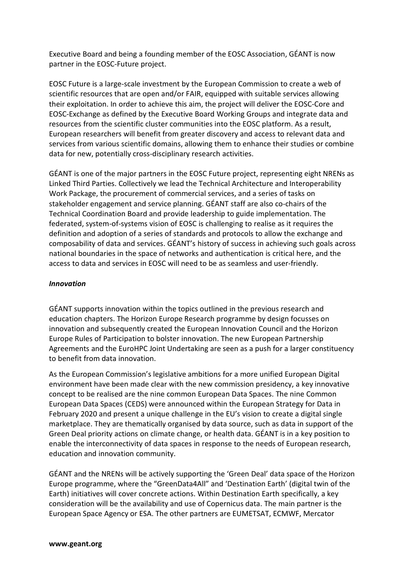Executive Board and being a founding member of the EOSC Association, GÉANT is now partner in the EOSC-Future project.

EOSC Future is a large-scale investment by the European Commission to create a web of scientific resources that are open and/or FAIR, equipped with suitable services allowing their exploitation. In order to achieve this aim, the project will deliver the EOSC-Core and EOSC-Exchange as defined by the Executive Board Working Groups and integrate data and resources from the scientific cluster communities into the EOSC platform. As a result, European researchers will benefit from greater discovery and access to relevant data and services from various scientific domains, allowing them to enhance their studies or combine data for new, potentially cross-disciplinary research activities.

GÉANT is one of the major partners in the EOSC Future project, representing eight NRENs as Linked Third Parties. Collectively we lead the Technical Architecture and Interoperability Work Package, the procurement of commercial services, and a series of tasks on stakeholder engagement and service planning. GÉANT staff are also co-chairs of the Technical Coordination Board and provide leadership to guide implementation. The federated, system-of-systems vision of EOSC is challenging to realise as it requires the definition and adoption of a series of standards and protocols to allow the exchange and composability of data and services. GÉANT's history of success in achieving such goals across national boundaries in the space of networks and authentication is critical here, and the access to data and services in EOSC will need to be as seamless and user-friendly.

### *Innovation*

GÉANT supports innovation within the topics outlined in the previous research and education chapters. The Horizon Europe Research programme by design focusses on innovation and subsequently created the European Innovation Council and the Horizon Europe Rules of Participation to bolster innovation. The new European Partnership Agreements and the EuroHPC Joint Undertaking are seen as a push for a larger constituency to benefit from data innovation.

As the European Commission's legislative ambitions for a more unified European Digital environment have been made clear with the new commission presidency, a key innovative concept to be realised are the nine common European Data Spaces. The nine Common European Data Spaces (CEDS) were announced within the European Strategy for Data in February 2020 and present a unique challenge in the EU's vision to create a digital single marketplace. They are thematically organised by data source, such as data in support of the Green Deal priority actions on climate change, or health data. GÉANT is in a key position to enable the interconnectivity of data spaces in response to the needs of European research, education and innovation community.

GÉANT and the NRENs will be actively supporting the 'Green Deal' data space of the Horizon Europe programme, where the "GreenData4All" and 'Destination Earth' (digital twin of the Earth) initiatives will cover concrete actions. Within Destination Earth specifically, a key consideration will be the availability and use of Copernicus data. The main partner is the European Space Agency or ESA. The other partners are EUMETSAT, ECMWF, Mercator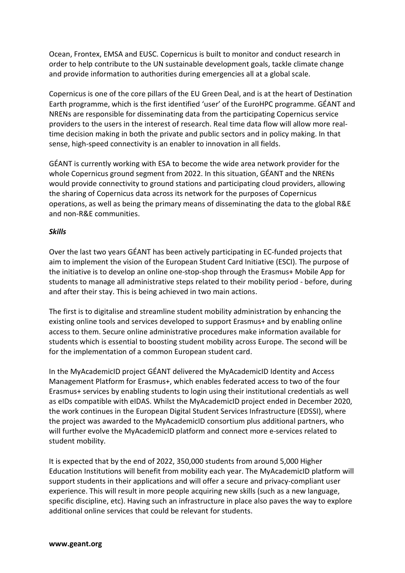Ocean, Frontex, EMSA and EUSC. Copernicus is built to monitor and conduct research in order to help contribute to the UN sustainable development goals, tackle climate change and provide information to authorities during emergencies all at a global scale.

Copernicus is one of the core pillars of the EU Green Deal, and is at the heart of Destination Earth programme, which is the first identified 'user' of the EuroHPC programme. GÉANT and NRENs are responsible for disseminating data from the participating Copernicus service providers to the users in the interest of research. Real time data flow will allow more realtime decision making in both the private and public sectors and in policy making. In that sense, high-speed connectivity is an enabler to innovation in all fields.

GÉANT is currently working with ESA to become the wide area network provider for the whole Copernicus ground segment from 2022. In this situation, GÉANT and the NRENs would provide connectivity to ground stations and participating cloud providers, allowing the sharing of Copernicus data across its network for the purposes of Copernicus operations, as well as being the primary means of disseminating the data to the global R&E and non-R&E communities.

#### *Skills*

Over the last two years GÉANT has been actively participating in EC-funded projects that aim to implement the vision of the European Student Card Initiative (ESCI). The purpose of the initiative is to develop an online one-stop-shop through the Erasmus+ Mobile App for students to manage all administrative steps related to their mobility period - before, during and after their stay. This is being achieved in two main actions.

The first is to digitalise and streamline student mobility administration by enhancing the existing online tools and services developed to support Erasmus+ and by enabling online access to them. Secure online administrative procedures make information available for students which is essential to boosting student mobility across Europe. The second will be for the implementation of a common European student card.

In the MyAcademicID project GÉANT delivered the MyAcademicID Identity and Access Management Platform for Erasmus+, which enables federated access to two of the four Erasmus+ services by enabling students to login using their institutional credentials as well as eIDs compatible with eIDAS. Whilst the MyAcademicID project ended in December 2020, the work continues in the European Digital Student Services Infrastructure (EDSSI), where the project was awarded to the MyAcademicID consortium plus additional partners, who will further evolve the MyAcademicID platform and connect more e-services related to student mobility.

It is expected that by the end of 2022, 350,000 students from around 5,000 Higher Education Institutions will benefit from mobility each year. The MyAcademicID platform will support students in their applications and will offer a secure and privacy-compliant user experience. This will result in more people acquiring new skills (such as a new language, specific discipline, etc). Having such an infrastructure in place also paves the way to explore additional online services that could be relevant for students.